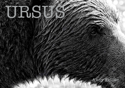